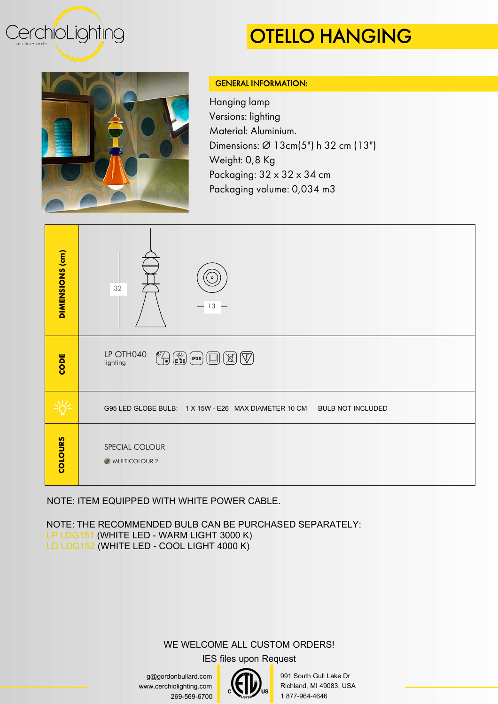

## OTELLO HANGING



## GENERAL INFORMATION:

Hanging lamp Versions: lighting Material: Aluminium. Dimensions: Ø 13cm(5") h 32 cm (13") Weight: 0,8 Kg Packaging:  $32 \times 32 \times 34$  cm Packaging volume: 0,034 m3



NOTE: ITEM EQUIPPED WITH WHITE POWER CABLE.

NOTE: THE RECOMMENDED BULB CAN BE PURCHASED SEPARATELY: LP LDG151 (WHITE LED - WARM LIGHT 3000 K) LD LDG152 (WHITE LED - COOL LIGHT 4000 K)

## WE WELCOME ALL CUSTOM ORDERS!

IES files upon Request

g@gordonbullard.com www.cerchiolighting.com 269-569-6700



991 South Gull Lake Dr Richland, MI 49083, USA 1 877-964-4646